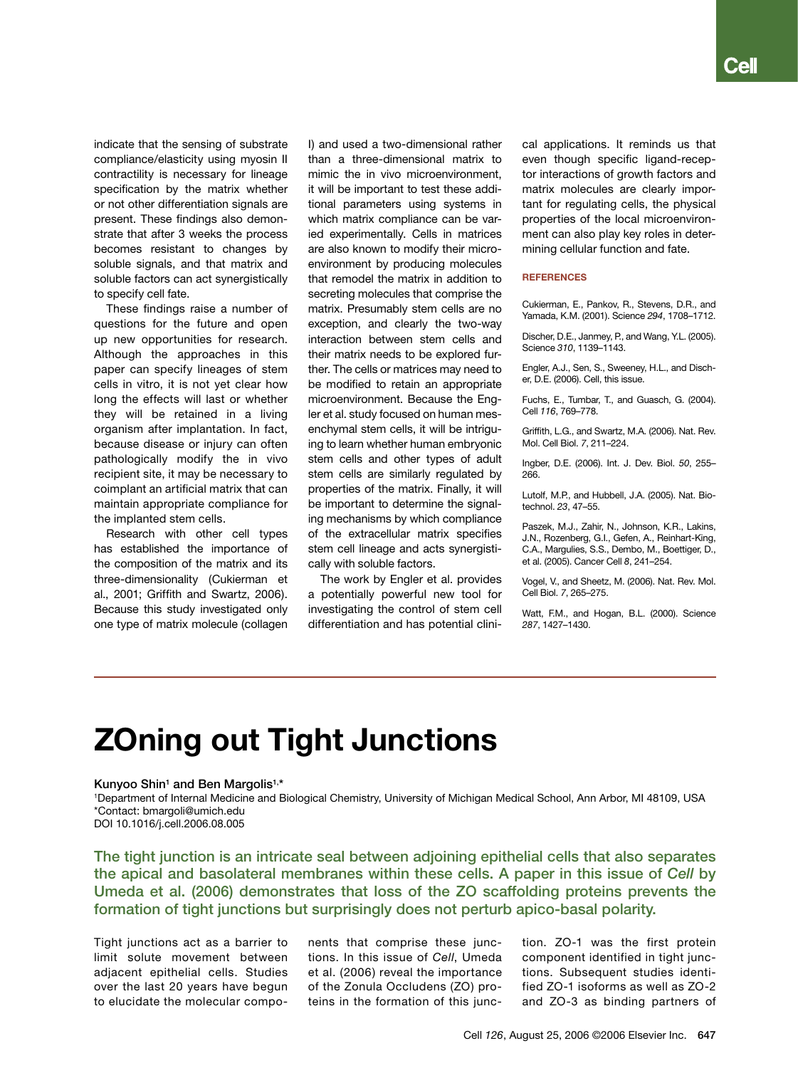indicate that the sensing of substrate compliance/elasticity using myosin II contractility is necessary for lineage specification by the matrix whether or not other differentiation signals are present. These findings also demonstrate that after 3 weeks the process becomes resistant to changes by soluble signals, and that matrix and soluble factors can act synergistically to specify cell fate.

These findings raise a number of questions for the future and open up new opportunities for research. Although the approaches in this paper can specify lineages of stem cells in vitro, it is not yet clear how long the effects will last or whether they will be retained in a living organism after implantation. In fact, because disease or injury can often pathologically modify the in vivo recipient site, it may be necessary to coimplant an artificial matrix that can maintain appropriate compliance for the implanted stem cells.

Research with other cell types has established the importance of the composition of the matrix and its three-dimensionality (Cukierman et al., 2001; Griffith and Swartz, 2006). Because this study investigated only one type of matrix molecule (collagen I) and used a two-dimensional rather than a three-dimensional matrix to mimic the in vivo microenvironment, it will be important to test these additional parameters using systems in which matrix compliance can be varied experimentally. Cells in matrices are also known to modify their microenvironment by producing molecules that remodel the matrix in addition to secreting molecules that comprise the matrix. Presumably stem cells are no exception, and clearly the two-way interaction between stem cells and their matrix needs to be explored further. The cells or matrices may need to be modified to retain an appropriate microenvironment. Because the Engler et al. study focused on human mesenchymal stem cells, it will be intriguing to learn whether human embryonic stem cells and other types of adult stem cells are similarly regulated by properties of the matrix. Finally, it will be important to determine the signaling mechanisms by which compliance of the extracellular matrix specifies stem cell lineage and acts synergistically with soluble factors.

The work by Engler et al. provides a potentially powerful new tool for investigating the control of stem cell differentiation and has potential clinical applications. It reminds us that even though specific ligand-receptor interactions of growth factors and matrix molecules are clearly important for regulating cells, the physical properties of the local microenvironment can also play key roles in determining cellular function and fate.

#### **References**

Cukierman, E., Pankov, R., Stevens, D.R., and Yamada, K.M. (2001). Science *294*, 1708–1712.

Discher, D.E., Janmey, P., and Wang, Y.L. (2005). Science *310*, 1139–1143.

Engler, A.J., Sen, S., Sweeney, H.L., and Discher, D.E. (2006). Cell, this issue.

Fuchs, E., Tumbar, T., and Guasch, G. (2004). Cell *116*, 769–778.

Griffith, L.G., and Swartz, M.A. (2006). Nat. Rev. Mol. Cell Biol. *7*, 211–224.

Ingber, D.E. (2006). Int. J. Dev. Biol. *50*, 255– 266.

Lutolf, M.P., and Hubbell, J.A. (2005). Nat. Biotechnol. *23*, 47–55.

Paszek, M.J., Zahir, N., Johnson, K.R., Lakins, J.N., Rozenberg, G.I., Gefen, A., Reinhart-King, C.A., Margulies, S.S., Dembo, M., Boettiger, D., et al. (2005). Cancer Cell *8*, 241–254.

Vogel, V., and Sheetz, M. (2006). Nat. Rev. Mol. Cell Biol. *7*, 265–275.

Watt, F.M., and Hogan, B.L. (2000). Science *287*, 1427–1430.

# **ZOning out Tight Junctions**

## Kunyoo Shin<sup>1</sup> and Ben Margolis<sup>1,\*</sup>

1 Department of Internal Medicine and Biological Chemistry, University of Michigan Medical School, Ann Arbor, MI 48109, USA \*Contact: bmargoli@umich.edu

DOI 10.1016/j.cell.2006.08.005

The tight junction is an intricate seal between adjoining epithelial cells that also separates the apical and basolateral membranes within these cells. A paper in this issue of *Cell* by Umeda et al. (2006) demonstrates that loss of the ZO scaffolding proteins prevents the formation of tight junctions but surprisingly does not perturb apico-basal polarity.

Tight junctions act as a barrier to limit solute movement between adjacent epithelial cells. Studies over the last 20 years have begun to elucidate the molecular components that comprise these junctions. In this issue of *Cell*, Umeda et al. (2006) reveal the importance of the Zonula Occludens (ZO) proteins in the formation of this junction. ZO-1 was the first protein component identified in tight junctions. Subsequent studies identified ZO-1 isoforms as well as ZO-2 and ZO-3 as binding partners of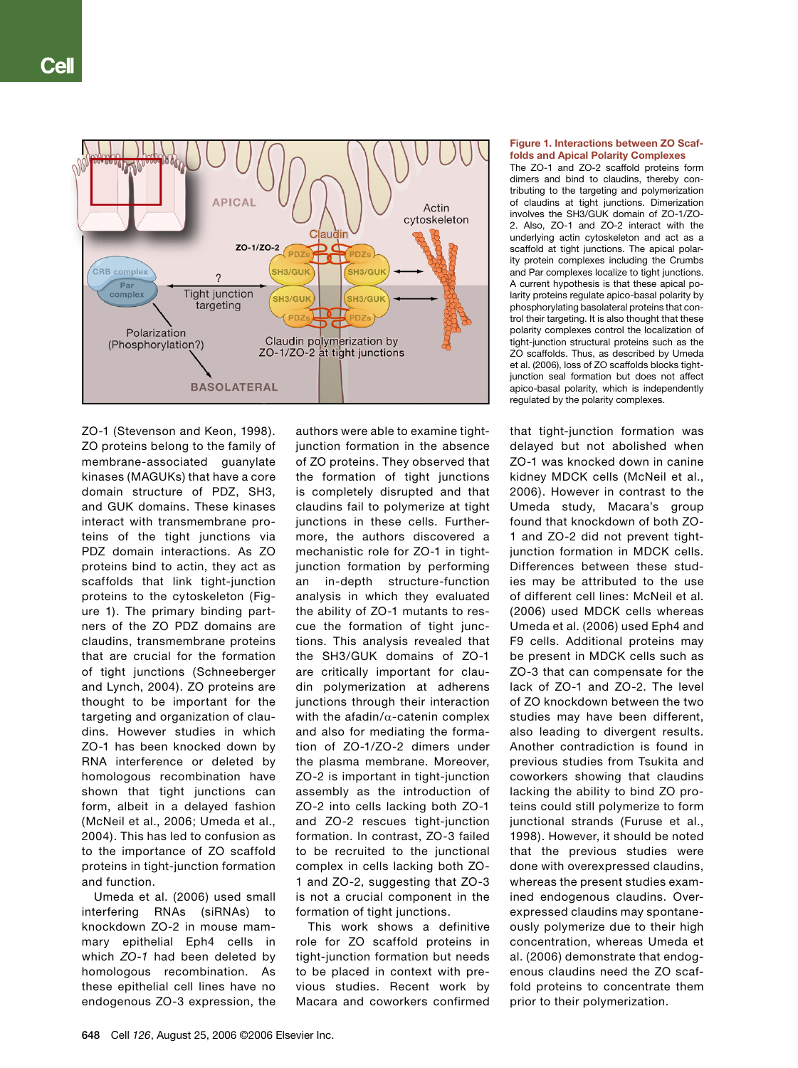

ZO-1 (Stevenson and Keon, 1998). ZO proteins belong to the family of membrane-associated guanylate kinases (MAGUKs) that have a core domain structure of PDZ, SH3, and GUK domains. These kinases interact with transmembrane proteins of the tight junctions via PDZ domain interactions. As ZO proteins bind to actin, they act as scaffolds that link tight-junction proteins to the cytoskeleton (Figure 1). The primary binding partners of the ZO PDZ domains are claudins, transmembrane proteins that are crucial for the formation of tight junctions (Schneeberger and Lynch, 2004). ZO proteins are thought to be important for the targeting and organization of claudins. However studies in which ZO-1 has been knocked down by RNA interference or deleted by homologous recombination have shown that tight junctions can form, albeit in a delayed fashion (McNeil et al., 2006; Umeda et al., 2004). This has led to confusion as to the importance of ZO scaffold proteins in tight-junction formation and function.

Umeda et al. (2006) used small interfering RNAs (siRNAs) to knockdown ZO-2 in mouse mammary epithelial Eph4 cells in which *ZO-1* had been deleted by homologous recombination. As these epithelial cell lines have no endogenous ZO-3 expression, the authors were able to examine tightjunction formation in the absence of ZO proteins. They observed that the formation of tight junctions is completely disrupted and that claudins fail to polymerize at tight junctions in these cells. Furthermore, the authors discovered a mechanistic role for ZO-1 in tightjunction formation by performing an in-depth structure-function analysis in which they evaluated the ability of ZO-1 mutants to rescue the formation of tight junctions. This analysis revealed that the SH3/GUK domains of ZO-1 are critically important for claudin polymerization at adherens junctions through their interaction with the afadin/ $\alpha$ -catenin complex and also for mediating the formation of ZO-1/ZO-2 dimers under the plasma membrane. Moreover, ZO-2 is important in tight-junction assembly as the introduction of ZO-2 into cells lacking both ZO-1 and ZO-2 rescues tight-junction formation. In contrast, ZO-3 failed to be recruited to the junctional complex in cells lacking both ZO-1 and ZO-2, suggesting that ZO-3 is not a crucial component in the formation of tight junctions.

This work shows a definitive role for ZO scaffold proteins in tight-junction formation but needs to be placed in context with previous studies. Recent work by Macara and coworkers confirmed

## **Figure 1. Interactions between ZO Scaffolds and Apical Polarity Complexes**

The ZO-1 and ZO-2 scaffold proteins form dimers and bind to claudins, thereby contributing to the targeting and polymerization of claudins at tight junctions. Dimerization involves the SH3/GUK domain of ZO-1/ZO-2. Also, ZO-1 and ZO-2 interact with the underlying actin cytoskeleton and act as a scaffold at tight junctions. The apical polarity protein complexes including the Crumbs and Par complexes localize to tight junctions. A current hypothesis is that these apical polarity proteins regulate apico-basal polarity by phosphorylating basolateral proteins that control their targeting. It is also thought that these polarity complexes control the localization of tight-junction structural proteins such as the ZO scaffolds. Thus, as described by Umeda et al. (2006), loss of ZO scaffolds blocks tightjunction seal formation but does not affect apico-basal polarity, which is independently regulated by the polarity complexes.

that tight-junction formation was delayed but not abolished when ZO-1 was knocked down in canine kidney MDCK cells (McNeil et al., 2006). However in contrast to the Umeda study, Macara's group found that knockdown of both ZO-1 and ZO-2 did not prevent tightjunction formation in MDCK cells. Differences between these studies may be attributed to the use of different cell lines: McNeil et al. (2006) used MDCK cells whereas Umeda et al. (2006) used Eph4 and F9 cells. Additional proteins may be present in MDCK cells such as ZO-3 that can compensate for the lack of ZO-1 and ZO-2. The level of ZO knockdown between the two studies may have been different, also leading to divergent results. Another contradiction is found in previous studies from Tsukita and coworkers showing that claudins lacking the ability to bind ZO proteins could still polymerize to form junctional strands (Furuse et al., 1998). However, it should be noted that the previous studies were done with overexpressed claudins, whereas the present studies examined endogenous claudins. Overexpressed claudins may spontaneously polymerize due to their high concentration, whereas Umeda et al. (2006) demonstrate that endogenous claudins need the ZO scaffold proteins to concentrate them prior to their polymerization.